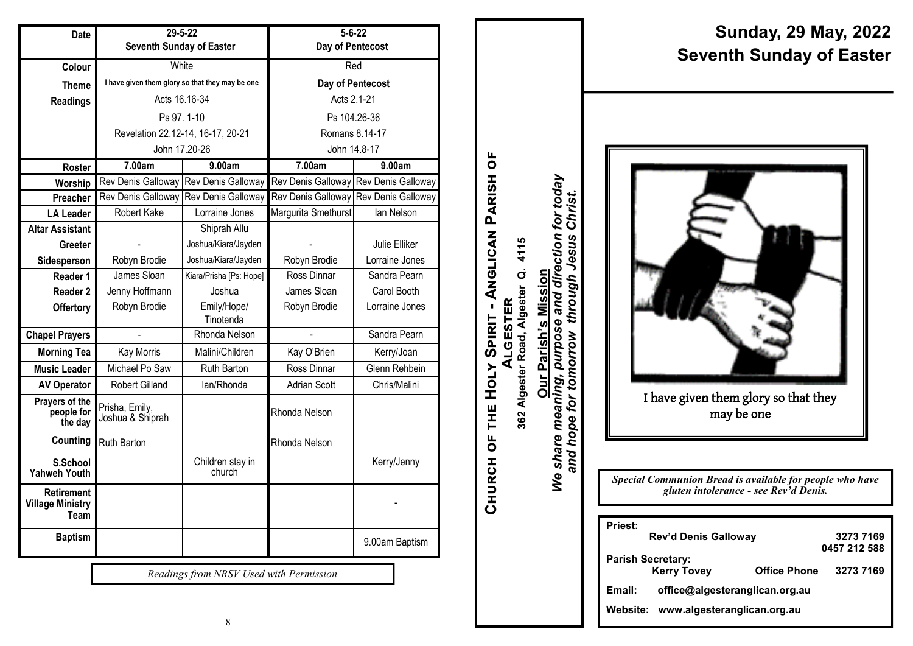| <b>Date</b>                                          | $29 - 5 - 22$                                   |                            | $5 - 6 - 22$        |                                       |
|------------------------------------------------------|-------------------------------------------------|----------------------------|---------------------|---------------------------------------|
|                                                      | Seventh Sunday of Easter                        |                            | Day of Pentecost    |                                       |
| Colour                                               | White                                           |                            | Red                 |                                       |
| <b>Theme</b>                                         | I have given them glory so that they may be one |                            | Day of Pentecost    |                                       |
| <b>Readings</b>                                      | Acts 16.16-34                                   |                            | Acts 2.1-21         |                                       |
|                                                      | Ps 97, 1-10                                     |                            | Ps 104.26-36        |                                       |
|                                                      | Revelation 22.12-14, 16-17, 20-21               |                            | Romans 8.14-17      |                                       |
|                                                      | John 17.20-26                                   |                            | John 14.8-17        |                                       |
| Roster                                               | 7.00am                                          | 9.00am                     | 7.00am              | 9.00am                                |
| Worship                                              | Rev Denis Galloway Rev Denis Galloway           |                            |                     | Rev Denis Galloway Rev Denis Galloway |
| Preacher                                             | Rev Denis Galloway                              | Rev Denis Galloway         |                     | Rev Denis Galloway Rev Denis Galloway |
| <b>LA Leader</b>                                     | Robert Kake                                     | Lorraine Jones             | Margurita Smethurst | lan Nelson                            |
| <b>Altar Assistant</b>                               |                                                 | Shiprah Allu               |                     |                                       |
| Greeter                                              |                                                 | Joshua/Kiara/Jayden        |                     | Julie Elliker                         |
| Sidesperson                                          | Robyn Brodie                                    | Joshua/Kiara/Jayden        | Robyn Brodie        | Lorraine Jones                        |
| Reader 1                                             | James Sloan                                     | Kiara/Prisha [Ps: Hope]    | Ross Dinnar         | Sandra Pearn                          |
| Reader 2                                             | Jenny Hoffmann                                  | Joshua                     | James Sloan         | Carol Booth                           |
| <b>Offertory</b>                                     | Robyn Brodie                                    | Emily/Hope/                | Robyn Brodie        | Lorraine Jones                        |
|                                                      |                                                 | Tinotenda                  |                     |                                       |
| <b>Chapel Prayers</b>                                |                                                 | Rhonda Nelson              |                     | Sandra Pearn                          |
| <b>Morning Tea</b>                                   | Kay Morris                                      | Malini/Children            | Kay O'Brien         | Kerry/Joan                            |
| <b>Music Leader</b>                                  | Michael Po Saw                                  | Ruth Barton                | Ross Dinnar         | Glenn Rehbein                         |
| <b>AV Operator</b>                                   | Robert Gilland                                  | lan/Rhonda                 | <b>Adrian Scott</b> | Chris/Malini                          |
| Prayers of the<br>people for<br>the day              | Prisha, Emily,<br>Joshua & Shiprah              |                            | Rhonda Nelson       |                                       |
| Counting                                             | Ruth Barton                                     |                            | Rhonda Nelson       |                                       |
| S.School<br><b>Yahweh Youth</b>                      |                                                 | Children stay in<br>church |                     | Kerry/Jenny                           |
| <b>Retirement</b><br><b>Village Ministry</b><br>Team |                                                 |                            |                     |                                       |
| <b>Baptism</b>                                       |                                                 |                            |                     | 9.00am Baptism                        |

*Readings from NRSV Used with Permission*

**Sunday, 29 May, 2022 Seventh Sunday of Easter**

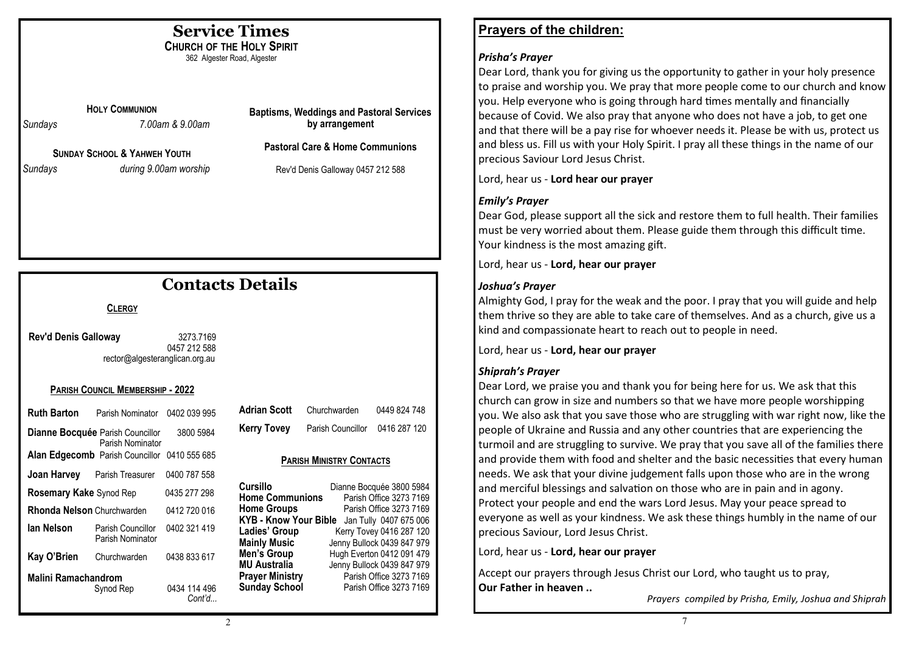## **Service Times**

**CHURCH OF THE HOLY SPIRIT** 362 Algester Road, Algester

**HOLY COMMUNION**

*Sundays 7.00am & 9.00am*

**SUNDAY SCHOOL & YAHWEH YOUTH** *Sundays during 9.00am worship* **Baptisms, Weddings and Pastoral Services by arrangement**

**Pastoral Care & Home Communions**

Rev'd Denis Galloway 0457 212 588

# **Contacts Details**

#### **CLERGY**

**Rev'd Denis Galloway** 3273.7169 0457 212 588 rector@algesteranglican.org.au

#### **PARISH COUNCIL MEMBERSHIP - 2022**

| Ruth Barton                                                 | Parish Nominator 0402 039 995                               |              |  |  |
|-------------------------------------------------------------|-------------------------------------------------------------|--------------|--|--|
|                                                             | <b>Dianne Bocquée</b> Parish Councillor<br>Parish Nominator | 3800 5984    |  |  |
|                                                             | <b>Alan Edgecomb</b> Parish Councillor                      | 0410 555 685 |  |  |
|                                                             | <b>Joan Harvey</b> Parish Treasurer                         | 0400 787 558 |  |  |
| <b>Rosemary Kake Synod Rep</b><br>0435 277 298              |                                                             |              |  |  |
| Rhonda Nelson Churchwarden                                  |                                                             | 0412 720 016 |  |  |
| lan Nelson                                                  | Parish Councillor<br>Parish Nominator                       | 0402 321 419 |  |  |
| Kay O'Brien                                                 | Churchwarden                                                | 0438 833 617 |  |  |
| Malini Ramachandrom<br>0434 114 496<br>Svnod Rep<br>Cont'd… |                                                             |              |  |  |

| <b>Adrian Scott</b> | Churchwarden      | 0449 824 748 |
|---------------------|-------------------|--------------|
| <b>Kerry Tovey</b>  | Parish Councillor | 0416 287 120 |

#### **PARISH MINISTRY CONTACTS**

| Cursillo                     | Dianne Bocquée 3800 5984   |
|------------------------------|----------------------------|
| <b>Home Communions</b>       | Parish Office 3273 7169    |
| <b>Home Groups</b>           | Parish Office 3273 7169    |
| <b>KYB - Know Your Bible</b> | Jan Tully 0407 675 006     |
| Ladies' Group                | Kerry Tovey 0416 287 120   |
| <b>Mainly Music</b>          | Jenny Bullock 0439 847 979 |
| Men's Group                  | Hugh Everton 0412 091 479  |
| MU Australia                 | Jenny Bullock 0439 847 979 |
| <b>Prayer Ministry</b>       | Parish Office 3273 7169    |
| <b>Sunday School</b>         | Parish Office 3273 7169    |

## **Prayers of the children:**

#### *Prisha's Prayer*

Dear Lord, thank you for giving us the opportunity to gather in your holy presence to praise and worship you. We pray that more people come to our church and know you. Help everyone who is going through hard times mentally and financially because of Covid. We also pray that anyone who does not have a job, to get one and that there will be a pay rise for whoever needs it. Please be with us, protect us and bless us. Fill us with your Holy Spirit. I pray all these things in the name of our precious Saviour Lord Jesus Christ.

Lord, hear us - **Lord hear our prayer**

### *Emily's Prayer*

Dear God, please support all the sick and restore them to full health. Their families must be very worried about them. Please guide them through this difficult time. Your kindness is the most amazing gift.

Lord, hear us - **Lord, hear our prayer**

### *Joshua's Prayer*

Almighty God, I pray for the weak and the poor. I pray that you will guide and help them thrive so they are able to take care of themselves. And as a church, give us a kind and compassionate heart to reach out to people in need.

Lord, hear us - **Lord, hear our prayer**

### *Shiprah's Prayer*

Dear Lord, we praise you and thank you for being here for us. We ask that this church can grow in size and numbers so that we have more people worshipping you. We also ask that you save those who are struggling with war right now, like the people of Ukraine and Russia and any other countries that are experiencing the turmoil and are struggling to survive. We pray that you save all of the families there and provide them with food and shelter and the basic necessities that every human needs. We ask that your divine judgement falls upon those who are in the wrong and merciful blessings and salvation on those who are in pain and in agony. Protect your people and end the wars Lord Jesus. May your peace spread to everyone as well as your kindness. We ask these things humbly in the name of our precious Saviour, Lord Jesus Christ.

Lord, hear us - **Lord, hear our prayer**

Accept our prayers through Jesus Christ our Lord, who taught us to pray, **Our Father in heaven ..**

*Prayers compiled by Prisha, Emily, Joshua and Shiprah*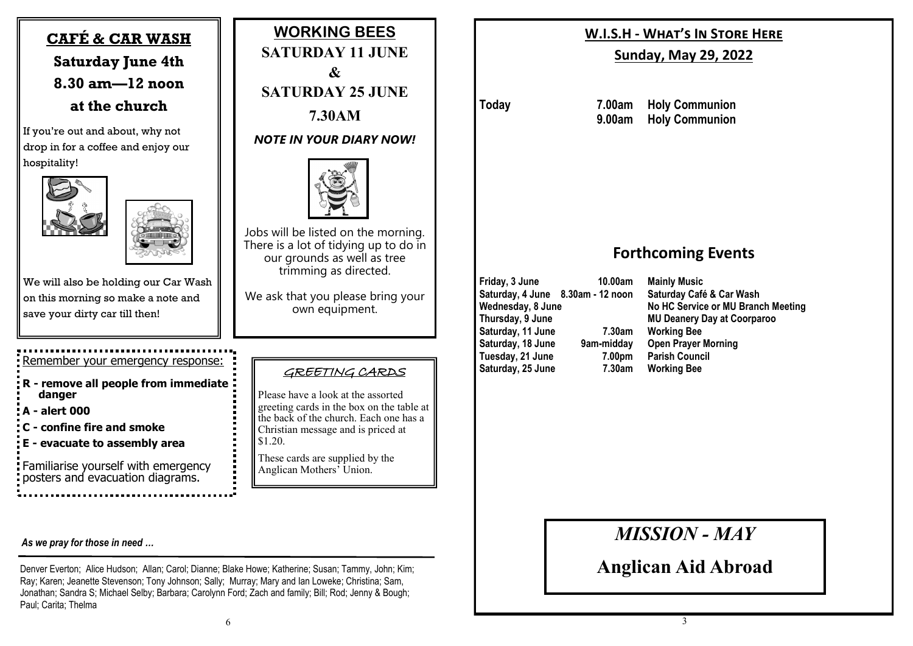# **CAFÉ & CAR WASH Saturday June 4th 8.30 am—12 noon at the church**

If you're out and about, why not drop in for a coffee and enjoy our hospitality!



We will also be holding our Car Wash on this morning so make a note and save your dirty car till then!

# Remember your emergency response:

**R - remove all people from immediate danger A - alert 000 C - confine fire and smoke E - evacuate to assembly area**

Familiarise yourself with emergency posters and evacuation diagrams.

#### *As we pray for those in need …*

Denver Everton; Alice Hudson; Allan; Carol; Dianne; Blake Howe; Katherine; Susan; Tammy, John; Kim; Ray; Karen; Jeanette Stevenson; Tony Johnson; Sally; Murray; Mary and Ian Loweke; Christina; Sam, Jonathan; Sandra S; Michael Selby; Barbara; Carolynn Ford; Zach and family; Bill; Rod; Jenny & Bough; Paul; Carita; Thelma

**WORKING BEES SATURDAY 11 JUNE & SATURDAY 25 JUNE 7.30AM**

*NOTE IN YOUR DIARY NOW!*



Jobs will be listed on the morning. There is a lot of tidving up to do in our grounds as well as tree trimming as directed.

We ask that you please bring your own equipment.

### GREETING CARDS

Please have a look at the assorted greeting cards in the box on the table at the back of the church. Each one has a Christian message and is priced at \$1.20.

These cards are supplied by the Anglican Mothers' Union.

## **W.I.S.H - What's In Store Here**

### **Sunday, May 29, 2022**

**Today 7.00am Holy Communion 9.00am Holy Communion**

## **Forthcoming Events**

**Friday, 3 June 10.00am Mainly Music Saturday, 4 June 8.30am - 12 noon Saturday Café & Car Wash Saturday, 11 June 7.30am Working Bee Saturday, 18 June 9am-midday Open Prayer Morning Tuesday, 21 June 7.00pm Parish Council Saturday, 25 June 7.30am Working Bee**

Wednesday, 8 June<br> **No HC Service or MU Branch Meeting<br>
MU Deanery Day at Coorparoo<br>
MU Deanery Day at Coorparoo MU Deanery Day at Coorparoo** 

*MISSION - MAY*

**Anglican Aid Abroad**